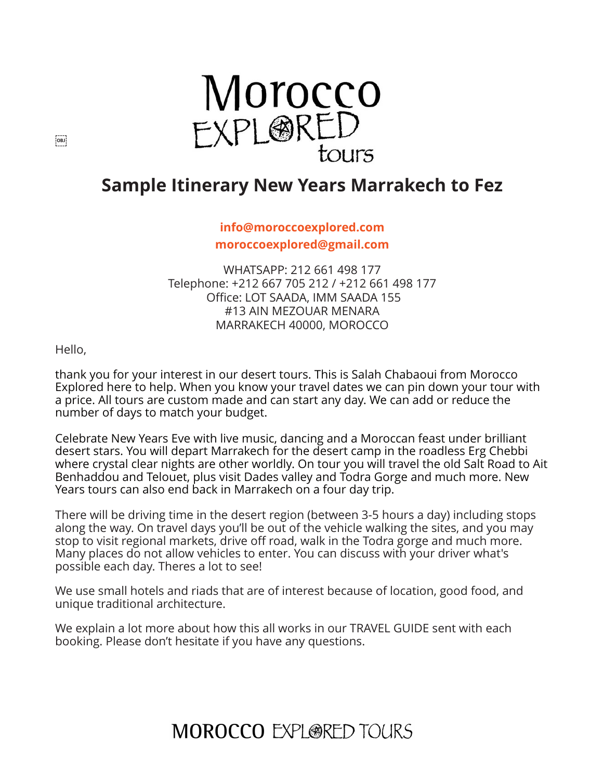

### **Sample Itinerary New Years Marrakech to Fez**

#### **[info@moroccoexplored.com](mailto:info@moroccoexplored.com) [moroccoexplored@gmail.com](mailto:moroccoexplored@gmail.com)**

WHATSAPP: 212 661 498 177 Telephone: +212 667 705 212 / +212 661 498 177 Office: LOT SAADA, IMM SAADA 155 #13 AIN MEZOUAR MENARA MARRAKECH 40000, MOROCCO

Hello,

thank you for your interest in our desert tours. This is Salah Chabaoui from Morocco Explored here to help. When you know your travel dates we can pin down your tour with a price. All tours are custom made and can start any day. We can add or reduce the number of days to match your budget.

Celebrate New Years Eve with live music, dancing and a Moroccan feast under brilliant desert stars. You will depart Marrakech for the desert camp in the roadless Erg Chebbi where crystal clear nights are other worldly. On tour you will travel the old Salt Road to Ait Benhaddou and Telouet, plus visit Dades valley and Todra Gorge and much more. New Years tours can also end back in Marrakech on a four day trip.

There will be driving time in the desert region (between 3-5 hours a day) including stops along the way. On travel days you'll be out of the vehicle walking the sites, and you may stop to visit regional markets, drive off road, walk in the Todra gorge and much more. Many places do not allow vehicles to enter. You can discuss with your driver what's possible each day. Theres a lot to see!

We use small hotels and riads that are of interest because of location, good food, and unique traditional architecture.

We explain a lot more about how this all works in our TRAVEL GUIDE sent with each booking. Please don't hesitate if you have any questions.

### **MOROCCO EXPLORED TOURS**

 $[OB]$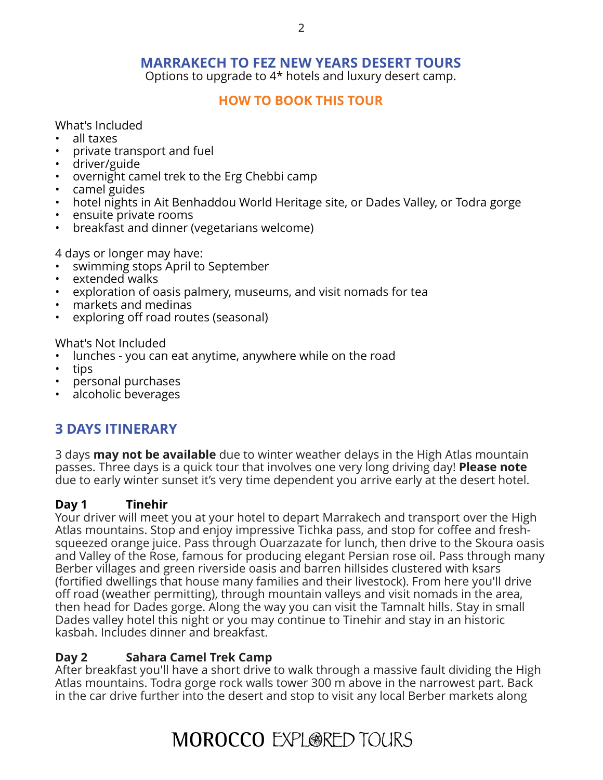#### **MARRAKECH TO FEZ NEW YEARS DESERT TOURS**

Options to upgrade to 4\* hotels and luxury desert camp.

#### **[HOW TO BOOK THIS TOUR](http://www.moroccoexploredtours.com/book-online/)**

What's Included

- all taxes
- private transport and fuel
- driver/guide
- overnight camel trek to the Erg Chebbi camp
- camel guides
- hotel nights in Ait Benhaddou World Heritage site, or Dades Valley, or Todra gorge
- ensuite private rooms
- breakfast and dinner (vegetarians welcome)

4 days or longer may have:

- swimming stops April to September
- extended walks
- exploration of oasis palmery, museums, and visit nomads for tea
- markets and medinas
- exploring off road routes (seasonal)

What's Not Included

- lunches you can eat anytime, anywhere while on the road
- tips
- personal purchases
- alcoholic beverages

### **3 DAYS ITINERARY**

3 days **may not be available** due to winter weather delays in the High Atlas mountain passes. Three days is a quick tour that involves one very long driving day! **Please note** due to early winter sunset it's very time dependent you arrive early at the desert hotel.

#### **Day 1 Tinehir**

Your driver will meet you at your hotel to depart Marrakech and transport over the High Atlas mountains. Stop and enjoy impressive Tichka pass, and stop for coffee and freshsqueezed orange juice. Pass through Ouarzazate for lunch, then drive to the Skoura oasis and Valley of the Rose, famous for producing elegant Persian rose oil. Pass through many Berber villages and green riverside oasis and barren hillsides clustered with ksars (fortified dwellings that house many families and their livestock). From here you'll drive off road (weather permitting), through mountain valleys and visit nomads in the area, then head for Dades gorge. Along the way you can visit the Tamnalt hills. Stay in small Dades valley hotel this night or you may continue to Tinehir and stay in an historic kasbah. Includes dinner and breakfast.

#### **Day 2 Sahara Camel Trek Camp**

After breakfast you'll have a short drive to walk through a massive fault dividing the High Atlas mountains. Todra gorge rock walls tower 300 m above in the narrowest part. Back in the car drive further into the desert and stop to visit any local Berber markets along

# **MOROCCO EXPLORED TOURS**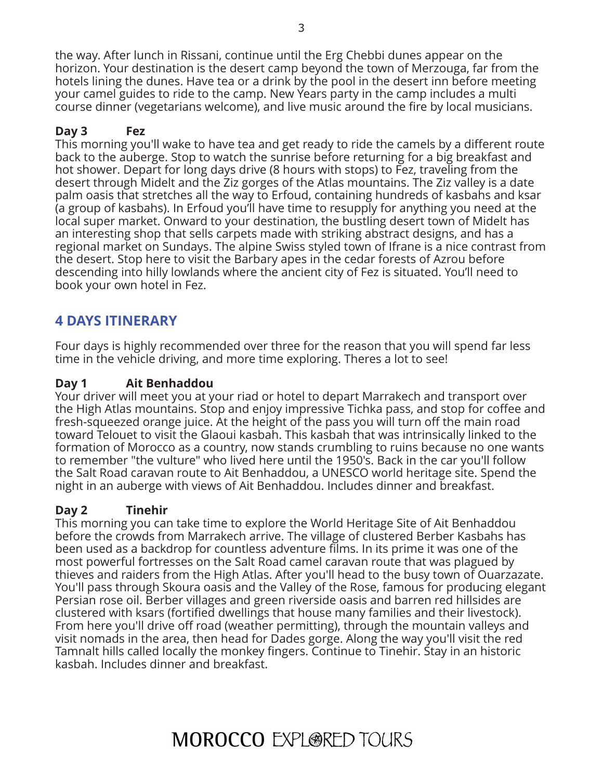the way. After lunch in Rissani, continue until the Erg Chebbi dunes appear on the horizon. Your destination is the desert camp beyond the town of Merzouga, far from the hotels lining the dunes. Have tea or a drink by the pool in the desert inn before meeting your camel guides to ride to the camp. New Years party in the camp includes a multi course dinner (vegetarians welcome), and live music around the fire by local musicians.

#### **Day 3 Fez**

This morning you'll wake to have tea and get ready to ride the camels by a different route back to the auberge. Stop to watch the sunrise before returning for a big breakfast and hot shower. Depart for long days drive (8 hours with stops) to Fez, traveling from the desert through Midelt and the Ziz gorges of the Atlas mountains. The Ziz valley is a date palm oasis that stretches all the way to Erfoud, containing hundreds of kasbahs and ksar (a group of kasbahs). In Erfoud you'll have time to resupply for anything you need at the local super market. Onward to your destination, the bustling desert town of Midelt has an interesting shop that sells carpets made with striking abstract designs, and has a regional market on Sundays. The alpine Swiss styled town of Ifrane is a nice contrast from the desert. Stop here to visit the Barbary apes in the cedar forests of Azrou before descending into hilly lowlands where the ancient city of Fez is situated. You'll need to book your own hotel in Fez.

### **4 DAYS ITINERARY**

Four days is highly recommended over three for the reason that you will spend far less time in the vehicle driving, and more time exploring. Theres a lot to see!

#### **Day 1 Ait Benhaddou**

Your driver will meet you at your riad or hotel to depart Marrakech and transport over the High Atlas mountains. Stop and enjoy impressive Tichka pass, and stop for coffee and fresh-squeezed orange juice. At the height of the pass you will turn off the main road toward Telouet to visit the Glaoui kasbah. This kasbah that was intrinsically linked to the formation of Morocco as a country, now stands crumbling to ruins because no one wants to remember "the vulture" who lived here until the 1950's. Back in the car you'll follow the Salt Road caravan route to Ait Benhaddou, a UNESCO world heritage site. Spend the night in an auberge with views of Ait Benhaddou. Includes dinner and breakfast.

#### **Day 2 Tinehir**

This morning you can take time to explore the World Heritage Site of Ait Benhaddou before the crowds from Marrakech arrive. The village of clustered Berber Kasbahs has been used as a backdrop for countless adventure films. In its prime it was one of the most powerful fortresses on the Salt Road camel caravan route that was plagued by thieves and raiders from the High Atlas. After you'll head to the busy town of Ouarzazate. You'll pass through Skoura oasis and the Valley of the Rose, famous for producing elegant Persian rose oil. Berber villages and green riverside oasis and barren red hillsides are clustered with ksars (fortified dwellings that house many families and their livestock). From here you'll drive off road (weather permitting), through the mountain valleys and visit nomads in the area, then head for Dades gorge. Along the way you'll visit the red Tamnalt hills called locally the monkey fingers. Continue to Tinehir. Stay in an historic kasbah. Includes dinner and breakfast.

# **MOROCCO EXPLORED TOURS**